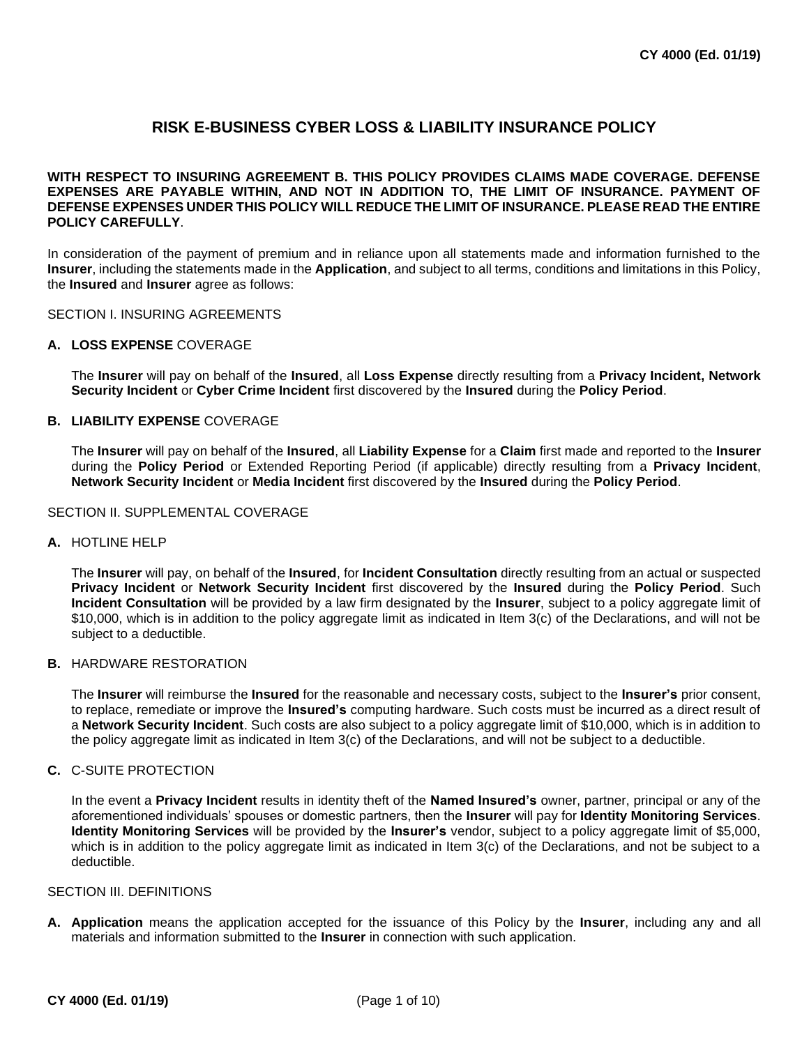# **RISK E-BUSINESS CYBER LOSS & LIABILITY INSURANCE POLICY**

# **WITH RESPECT TO INSURING AGREEMENT B. THIS POLICY PROVIDES CLAIMS MADE COVERAGE. DEFENSE EXPENSES ARE PAYABLE WITHIN, AND NOT IN ADDITION TO, THE LIMIT OF INSURANCE. PAYMENT OF DEFENSE EXPENSES UNDER THIS POLICY WILL REDUCE THE LIMIT OF INSURANCE. PLEASE READ THE ENTIRE POLICY CAREFULLY**.

In consideration of the payment of premium and in reliance upon all statements made and information furnished to the **Insurer**, including the statements made in the **Application**, and subject to all terms, conditions and limitations in this Policy, the **Insured** and **Insurer** agree as follows:

SECTION I. INSURING AGREEMENTS

### **A. LOSS EXPENSE** COVERAGE

The **Insurer** will pay on behalf of the **Insured**, all **Loss Expense** directly resulting from a **Privacy Incident, Network Security Incident** or **Cyber Crime Incident** first discovered by the **Insured** during the **Policy Period**.

# **B. LIABILITY EXPENSE** COVERAGE

The **Insurer** will pay on behalf of the **Insured**, all **Liability Expense** for a **Claim** first made and reported to the **Insurer**  during the **Policy Period** or Extended Reporting Period (if applicable) directly resulting from a **Privacy Incident**, **Network Security Incident** or **Media Incident** first discovered by the **Insured** during the **Policy Period**.

#### SECTION II. SUPPLEMENTAL COVERAGE

#### **A.** HOTLINE HELP

The **Insurer** will pay, on behalf of the **Insured**, for **Incident Consultation** directly resulting from an actual or suspected **Privacy Incident** or **Network Security Incident** first discovered by the **Insured** during the **Policy Period**. Such **Incident Consultation** will be provided by a law firm designated by the **Insurer**, subject to a policy aggregate limit of \$10,000, which is in addition to the policy aggregate limit as indicated in Item 3(c) of the Declarations, and will not be subject to a deductible.

#### **B.** HARDWARE RESTORATION

The **Insurer** will reimburse the **Insured** for the reasonable and necessary costs, subject to the **Insurer's** prior consent, to replace, remediate or improve the **Insured's** computing hardware. Such costs must be incurred as a direct result of a **Network Security Incident**. Such costs are also subject to a policy aggregate limit of \$10,000, which is in addition to the policy aggregate limit as indicated in Item 3(c) of the Declarations, and will not be subject to a deductible.

### **C.** C-SUITE PROTECTION

In the event a **Privacy Incident** results in identity theft of the **Named Insured's** owner, partner, principal or any of the aforementioned individuals' spouses or domestic partners, then the **Insurer** will pay for **Identity Monitoring Services**. **Identity Monitoring Services** will be provided by the **Insurer's** vendor, subject to a policy aggregate limit of \$5,000, which is in addition to the policy aggregate limit as indicated in Item 3(c) of the Declarations, and not be subject to a deductible.

#### SECTION III. DEFINITIONS

**A. Application** means the application accepted for the issuance of this Policy by the **Insurer**, including any and all materials and information submitted to the **Insurer** in connection with such application.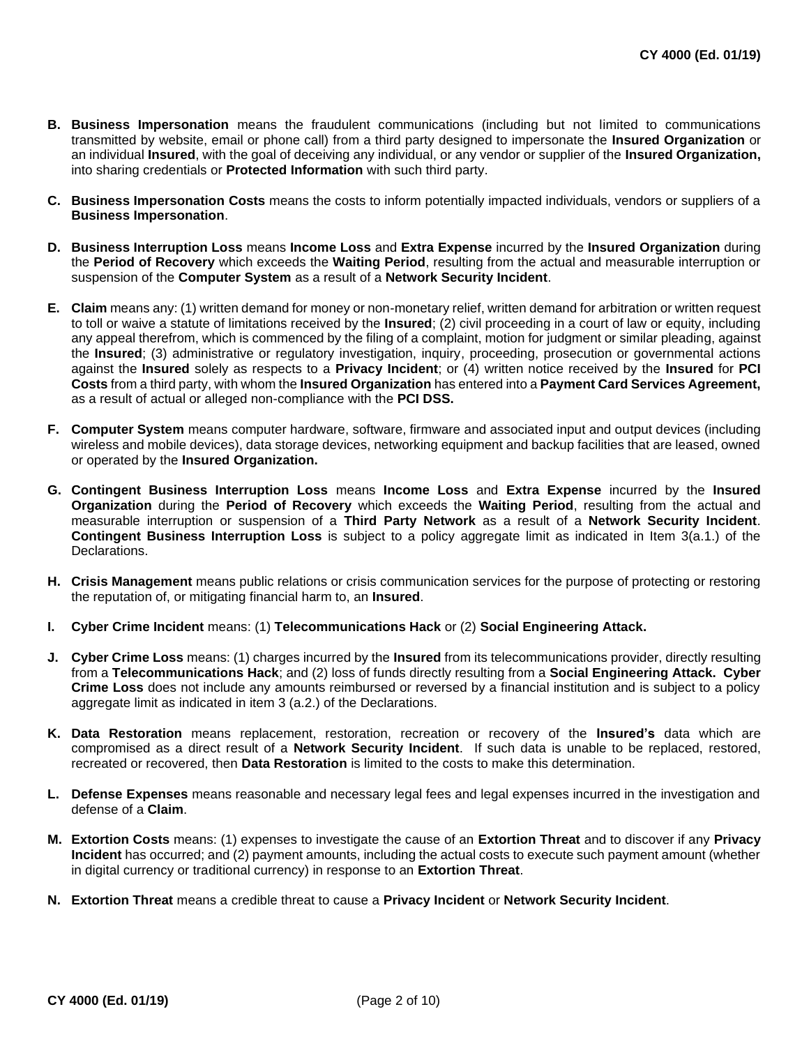- **B. Business Impersonation** means the fraudulent communications (including but not limited to communications transmitted by website, email or phone call) from a third party designed to impersonate the **Insured Organization** or an individual **Insured**, with the goal of deceiving any individual, or any vendor or supplier of the **Insured Organization,** into sharing credentials or **Protected Information** with such third party.
- **C. Business Impersonation Costs** means the costs to inform potentially impacted individuals, vendors or suppliers of a **Business Impersonation**.
- **D. Business Interruption Loss** means **Income Loss** and **Extra Expense** incurred by the **Insured Organization** during the **Period of Recovery** which exceeds the **Waiting Period**, resulting from the actual and measurable interruption or suspension of the **Computer System** as a result of a **Network Security Incident**.
- **E. Claim** means any: (1) written demand for money or non-monetary relief, written demand for arbitration or written request to toll or waive a statute of limitations received by the **Insured**; (2) civil proceeding in a court of law or equity, including any appeal therefrom, which is commenced by the filing of a complaint, motion for judgment or similar pleading, against the **Insured**; (3) administrative or regulatory investigation, inquiry, proceeding, prosecution or governmental actions against the **Insured** solely as respects to a **Privacy Incident**; or (4) written notice received by the **Insured** for **PCI Costs** from a third party, with whom the **Insured Organization** has entered into a **Payment Card Services Agreement,** as a result of actual or alleged non-compliance with the **PCI DSS.**
- **F. Computer System** means computer hardware, software, firmware and associated input and output devices (including wireless and mobile devices), data storage devices, networking equipment and backup facilities that are leased, owned or operated by the **Insured Organization.**
- **G. Contingent Business Interruption Loss** means **Income Loss** and **Extra Expense** incurred by the **Insured Organization** during the **Period of Recovery** which exceeds the **Waiting Period**, resulting from the actual and measurable interruption or suspension of a **Third Party Network** as a result of a **Network Security Incident**. **Contingent Business Interruption Loss** is subject to a policy aggregate limit as indicated in Item 3(a.1.) of the Declarations.
- **H. Crisis Management** means public relations or crisis communication services for the purpose of protecting or restoring the reputation of, or mitigating financial harm to, an **Insured**.
- **I. Cyber Crime Incident** means: (1) **Telecommunications Hack** or (2) **Social Engineering Attack.**
- **J. Cyber Crime Loss** means: (1) charges incurred by the **Insured** from its telecommunications provider, directly resulting from a **Telecommunications Hack**; and (2) loss of funds directly resulting from a **Social Engineering Attack. Cyber Crime Loss** does not include any amounts reimbursed or reversed by a financial institution and is subject to a policy aggregate limit as indicated in item 3 (a.2.) of the Declarations.
- **K. Data Restoration** means replacement, restoration, recreation or recovery of the **Insured's** data which are compromised as a direct result of a **Network Security Incident**. If such data is unable to be replaced, restored, recreated or recovered, then **Data Restoration** is limited to the costs to make this determination.
- **L. Defense Expenses** means reasonable and necessary legal fees and legal expenses incurred in the investigation and defense of a **Claim**.
- **M. Extortion Costs** means: (1) expenses to investigate the cause of an **Extortion Threat** and to discover if any **Privacy Incident** has occurred; and (2) payment amounts, including the actual costs to execute such payment amount (whether in digital currency or traditional currency) in response to an **Extortion Threat**.
- **N. Extortion Threat** means a credible threat to cause a **Privacy Incident** or **Network Security Incident**.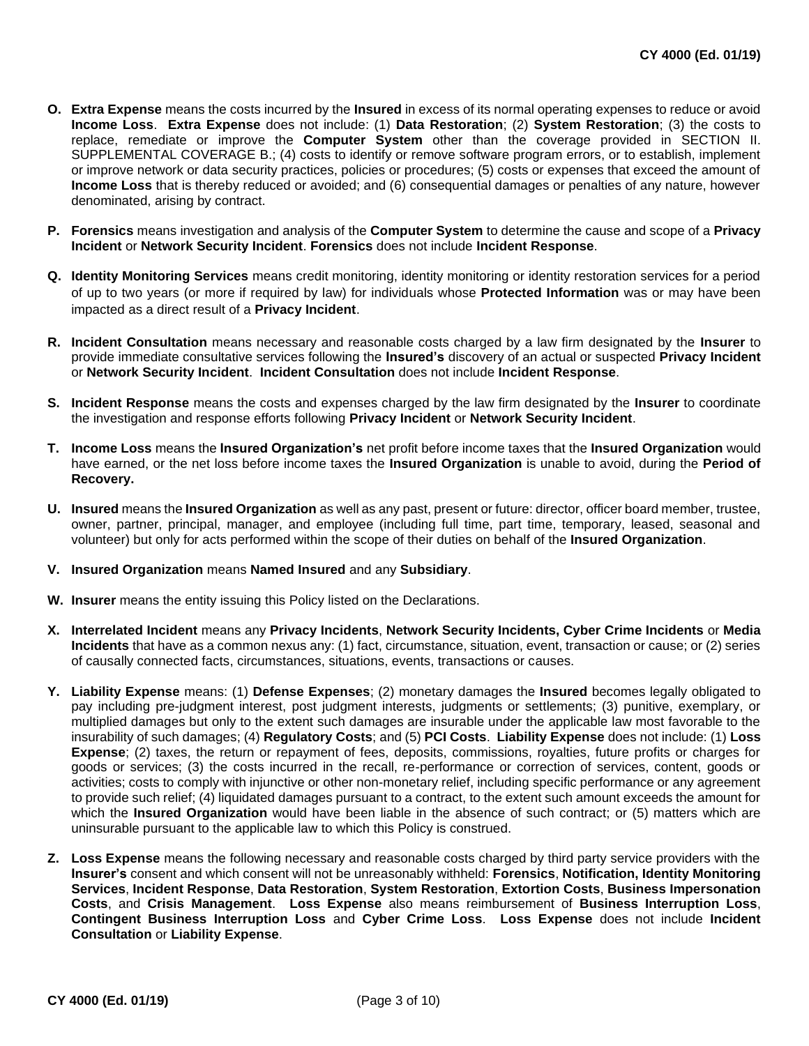- **O. Extra Expense** means the costs incurred by the **Insured** in excess of its normal operating expenses to reduce or avoid **Income Loss**. **Extra Expense** does not include: (1) **Data Restoration**; (2) **System Restoration**; (3) the costs to replace, remediate or improve the **Computer System** other than the coverage provided in SECTION II. SUPPLEMENTAL COVERAGE B.; (4) costs to identify or remove software program errors, or to establish, implement or improve network or data security practices, policies or procedures; (5) costs or expenses that exceed the amount of **Income Loss** that is thereby reduced or avoided; and (6) consequential damages or penalties of any nature, however denominated, arising by contract.
- **P. Forensics** means investigation and analysis of the **Computer System** to determine the cause and scope of a **Privacy Incident** or **Network Security Incident**. **Forensics** does not include **Incident Response**.
- **Q. Identity Monitoring Services** means credit monitoring, identity monitoring or identity restoration services for a period of up to two years (or more if required by law) for individuals whose **Protected Information** was or may have been impacted as a direct result of a **Privacy Incident**.
- **R. Incident Consultation** means necessary and reasonable costs charged by a law firm designated by the **Insurer** to provide immediate consultative services following the **Insured's** discovery of an actual or suspected **Privacy Incident** or **Network Security Incident**. **Incident Consultation** does not include **Incident Response**.
- **S. Incident Response** means the costs and expenses charged by the law firm designated by the **Insurer** to coordinate the investigation and response efforts following **Privacy Incident** or **Network Security Incident**.
- **T. Income Loss** means the **Insured Organization's** net profit before income taxes that the **Insured Organization** would have earned, or the net loss before income taxes the **Insured Organization** is unable to avoid, during the **Period of Recovery.**
- **U. Insured** means the **Insured Organization** as well as any past, present or future: director, officer board member, trustee, owner, partner, principal, manager, and employee (including full time, part time, temporary, leased, seasonal and volunteer) but only for acts performed within the scope of their duties on behalf of the **Insured Organization**.

# **V. Insured Organization** means **Named Insured** and any **Subsidiary**.

- **W. Insurer** means the entity issuing this Policy listed on the Declarations.
- **X. Interrelated Incident** means any **Privacy Incidents**, **Network Security Incidents, Cyber Crime Incidents** or **Media Incidents** that have as a common nexus any: (1) fact, circumstance, situation, event, transaction or cause; or (2) series of causally connected facts, circumstances, situations, events, transactions or causes.
- **Y. Liability Expense** means: (1) **Defense Expenses**; (2) monetary damages the **Insured** becomes legally obligated to pay including pre-judgment interest, post judgment interests, judgments or settlements; (3) punitive, exemplary, or multiplied damages but only to the extent such damages are insurable under the applicable law most favorable to the insurability of such damages; (4) **Regulatory Costs**; and (5) **PCI Costs**. **Liability Expense** does not include: (1) **Loss Expense**; (2) taxes, the return or repayment of fees, deposits, commissions, royalties, future profits or charges for goods or services; (3) the costs incurred in the recall, re-performance or correction of services, content, goods or activities; costs to comply with injunctive or other non-monetary relief, including specific performance or any agreement to provide such relief; (4) liquidated damages pursuant to a contract, to the extent such amount exceeds the amount for which the **Insured Organization** would have been liable in the absence of such contract; or (5) matters which are uninsurable pursuant to the applicable law to which this Policy is construed.
- **Z. Loss Expense** means the following necessary and reasonable costs charged by third party service providers with the **Insurer's** consent and which consent will not be unreasonably withheld: **Forensics**, **Notification, Identity Monitoring Services**, **Incident Response**, **Data Restoration**, **System Restoration**, **Extortion Costs**, **Business Impersonation Costs**, and **Crisis Management**. **Loss Expense** also means reimbursement of **Business Interruption Loss**, **Contingent Business Interruption Loss** and **Cyber Crime Loss**. **Loss Expense** does not include **Incident Consultation** or **Liability Expense**.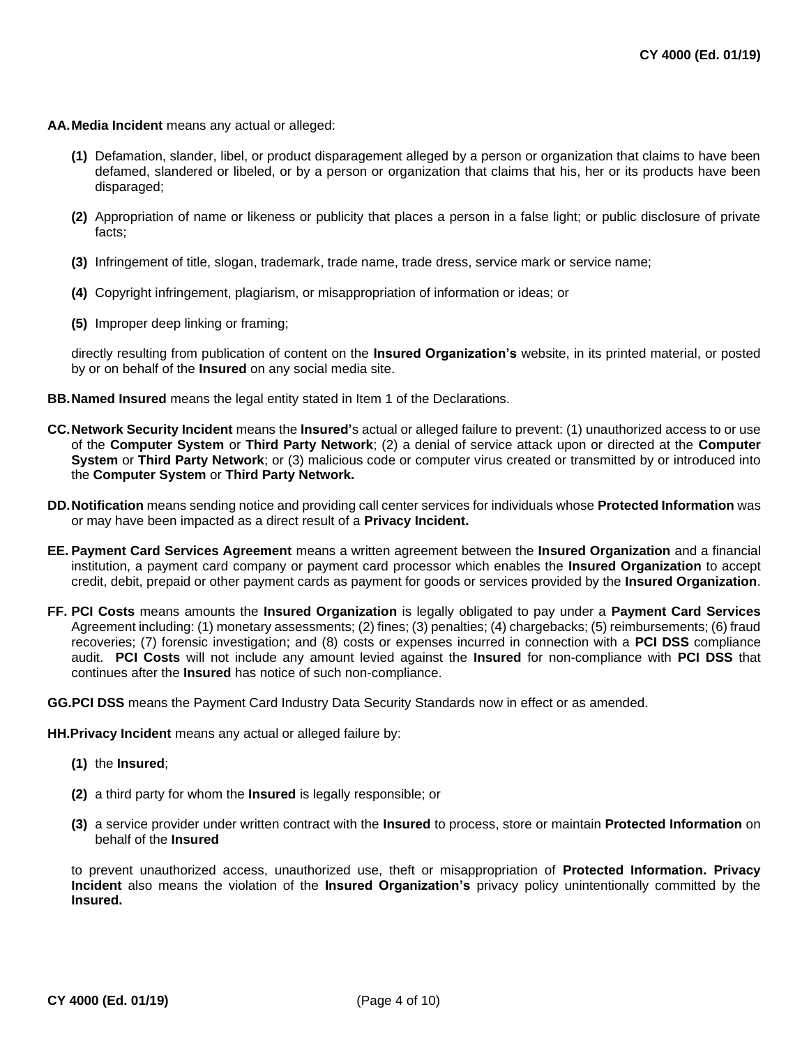#### **AA.Media Incident** means any actual or alleged:

- **(1)** Defamation, slander, libel, or product disparagement alleged by a person or organization that claims to have been defamed, slandered or libeled, or by a person or organization that claims that his, her or its products have been disparaged;
- **(2)** Appropriation of name or likeness or publicity that places a person in a false light; or public disclosure of private facts;
- **(3)** Infringement of title, slogan, trademark, trade name, trade dress, service mark or service name;
- **(4)** Copyright infringement, plagiarism, or misappropriation of information or ideas; or
- **(5)** Improper deep linking or framing;

directly resulting from publication of content on the **Insured Organization's** website, in its printed material, or posted by or on behalf of the **Insured** on any social media site.

- **BB.Named Insured** means the legal entity stated in Item 1 of the Declarations.
- **CC.Network Security Incident** means the **Insured'**s actual or alleged failure to prevent: (1) unauthorized access to or use of the **Computer System** or **Third Party Network**; (2) a denial of service attack upon or directed at the **Computer System** or **Third Party Network**; or (3) malicious code or computer virus created or transmitted by or introduced into the **Computer System** or **Third Party Network.**
- **DD.Notification** means sending notice and providing call center services for individuals whose **Protected Information** was or may have been impacted as a direct result of a **Privacy Incident.**
- **EE. Payment Card Services Agreement** means a written agreement between the **Insured Organization** and a financial institution, a payment card company or payment card processor which enables the **Insured Organization** to accept credit, debit, prepaid or other payment cards as payment for goods or services provided by the **Insured Organization**.
- **FF. PCI Costs** means amounts the **Insured Organization** is legally obligated to pay under a **Payment Card Services**  Agreement including: (1) monetary assessments; (2) fines; (3) penalties; (4) chargebacks; (5) reimbursements; (6) fraud recoveries; (7) forensic investigation; and (8) costs or expenses incurred in connection with a **PCI DSS** compliance audit. **PCI Costs** will not include any amount levied against the **Insured** for non-compliance with **PCI DSS** that continues after the **Insured** has notice of such non-compliance.

**GG.PCI DSS** means the Payment Card Industry Data Security Standards now in effect or as amended.

**HH.Privacy Incident** means any actual or alleged failure by:

- **(1)** the **Insured**;
- **(2)** a third party for whom the **Insured** is legally responsible; or
- **(3)** a service provider under written contract with the **Insured** to process, store or maintain **Protected Information** on behalf of the **Insured**

to prevent unauthorized access, unauthorized use, theft or misappropriation of **Protected Information. Privacy Incident** also means the violation of the **Insured Organization's** privacy policy unintentionally committed by the **Insured.**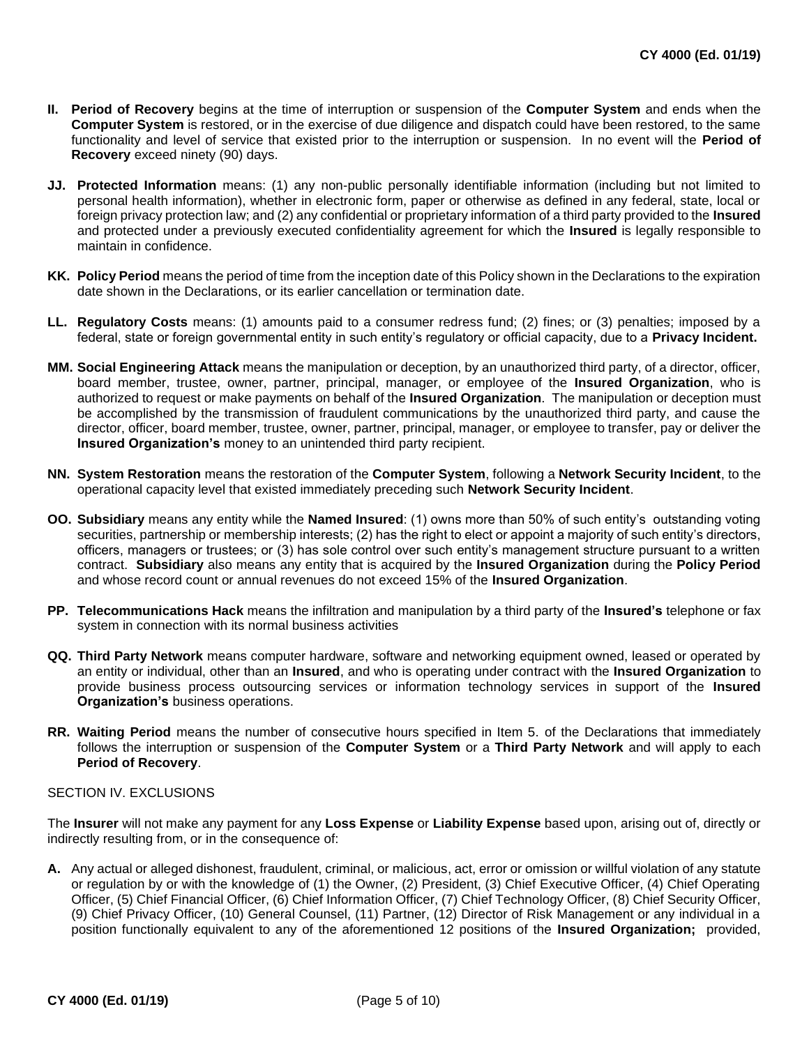- **II. Period of Recovery** begins at the time of interruption or suspension of the **Computer System** and ends when the **Computer System** is restored, or in the exercise of due diligence and dispatch could have been restored, to the same functionality and level of service that existed prior to the interruption or suspension. In no event will the **Period of Recovery** exceed ninety (90) days.
- **JJ. Protected Information** means: (1) any non-public personally identifiable information (including but not limited to personal health information), whether in electronic form, paper or otherwise as defined in any federal, state, local or foreign privacy protection law; and (2) any confidential or proprietary information of a third party provided to the **Insured** and protected under a previously executed confidentiality agreement for which the **Insured** is legally responsible to maintain in confidence.
- **KK. Policy Period** means the period of time from the inception date of this Policy shown in the Declarations to the expiration date shown in the Declarations, or its earlier cancellation or termination date.
- **LL. Regulatory Costs** means: (1) amounts paid to a consumer redress fund; (2) fines; or (3) penalties; imposed by a federal, state or foreign governmental entity in such entity's regulatory or official capacity, due to a **Privacy Incident.**
- **MM. Social Engineering Attack** means the manipulation or deception, by an unauthorized third party, of a director, officer, board member, trustee, owner, partner, principal, manager, or employee of the **Insured Organization**, who is authorized to request or make payments on behalf of the **Insured Organization**. The manipulation or deception must be accomplished by the transmission of fraudulent communications by the unauthorized third party, and cause the director, officer, board member, trustee, owner, partner, principal, manager, or employee to transfer, pay or deliver the **Insured Organization's** money to an unintended third party recipient.
- **NN. System Restoration** means the restoration of the **Computer System**, following a **Network Security Incident**, to the operational capacity level that existed immediately preceding such **Network Security Incident**.
- **OO. Subsidiary** means any entity while the **Named Insured**: (1) owns more than 50% of such entity's outstanding voting securities, partnership or membership interests; (2) has the right to elect or appoint a majority of such entity's directors, officers, managers or trustees; or (3) has sole control over such entity's management structure pursuant to a written contract. **Subsidiary** also means any entity that is acquired by the **Insured Organization** during the **Policy Period** and whose record count or annual revenues do not exceed 15% of the **Insured Organization**.
- **PP. Telecommunications Hack** means the infiltration and manipulation by a third party of the **Insured's** telephone or fax system in connection with its normal business activities
- **QQ. Third Party Network** means computer hardware, software and networking equipment owned, leased or operated by an entity or individual, other than an **Insured**, and who is operating under contract with the **Insured Organization** to provide business process outsourcing services or information technology services in support of the **Insured Organization's** business operations.
- **RR. Waiting Period** means the number of consecutive hours specified in Item 5. of the Declarations that immediately follows the interruption or suspension of the **Computer System** or a **Third Party Network** and will apply to each **Period of Recovery**.

# SECTION IV. EXCLUSIONS

The **Insurer** will not make any payment for any **Loss Expense** or **Liability Expense** based upon, arising out of, directly or indirectly resulting from, or in the consequence of:

**A.** Any actual or alleged dishonest, fraudulent, criminal, or malicious, act, error or omission or willful violation of any statute or regulation by or with the knowledge of (1) the Owner, (2) President, (3) Chief Executive Officer, (4) Chief Operating Officer, (5) Chief Financial Officer, (6) Chief Information Officer, (7) Chief Technology Officer, (8) Chief Security Officer, (9) Chief Privacy Officer, (10) General Counsel, (11) Partner, (12) Director of Risk Management or any individual in a position functionally equivalent to any of the aforementioned 12 positions of the **Insured Organization;** provided,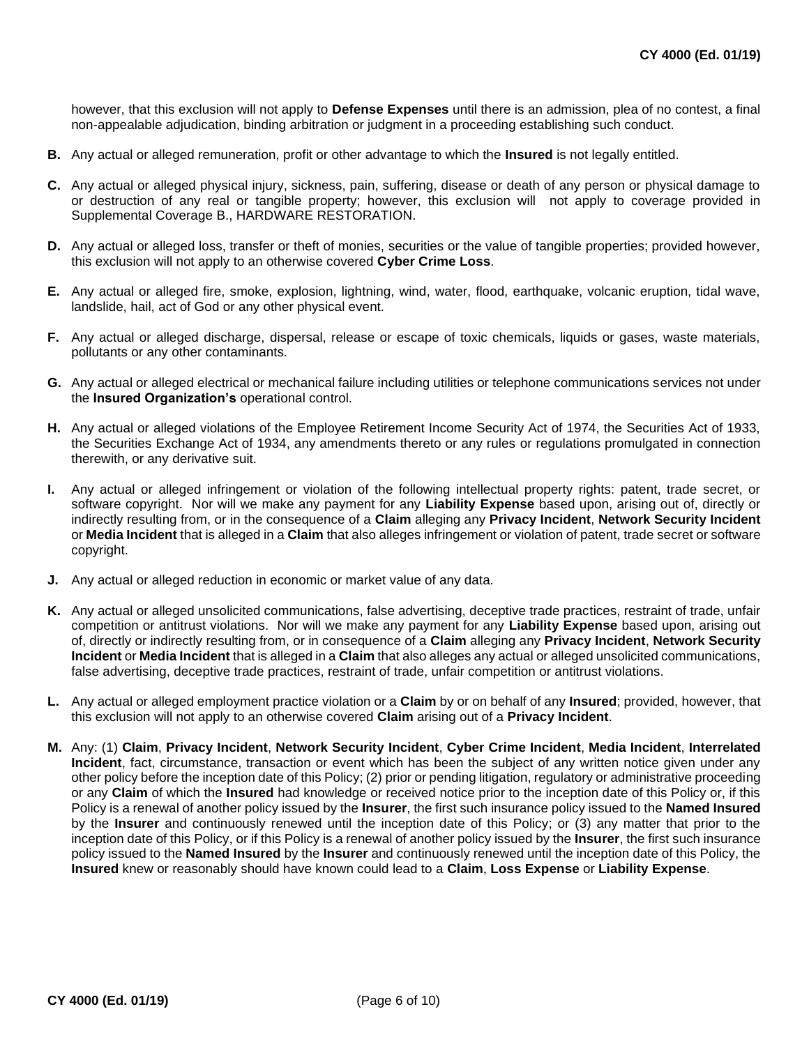however, that this exclusion will not apply to **Defense Expenses** until there is an admission, plea of no contest, a final non-appealable adjudication, binding arbitration or judgment in a proceeding establishing such conduct.

- **B.** Any actual or alleged remuneration, profit or other advantage to which the **Insured** is not legally entitled.
- **C.** Any actual or alleged physical injury, sickness, pain, suffering, disease or death of any person or physical damage to or destruction of any real or tangible property; however, this exclusion will not apply to coverage provided in Supplemental Coverage B., HARDWARE RESTORATION.
- **D.** Any actual or alleged loss, transfer or theft of monies, securities or the value of tangible properties; provided however, this exclusion will not apply to an otherwise covered **Cyber Crime Loss**.
- **E.** Any actual or alleged fire, smoke, explosion, lightning, wind, water, flood, earthquake, volcanic eruption, tidal wave, landslide, hail, act of God or any other physical event.
- **F.** Any actual or alleged discharge, dispersal, release or escape of toxic chemicals, liquids or gases, waste materials, pollutants or any other contaminants.
- **G.** Any actual or alleged electrical or mechanical failure including utilities or telephone communications services not under the **Insured Organization's** operational control.
- **H.** Any actual or alleged violations of the Employee Retirement Income Security Act of 1974, the Securities Act of 1933, the Securities Exchange Act of 1934, any amendments thereto or any rules or regulations promulgated in connection therewith, or any derivative suit.
- **I.** Any actual or alleged infringement or violation of the following intellectual property rights: patent, trade secret, or software copyright. Nor will we make any payment for any **Liability Expense** based upon, arising out of, directly or indirectly resulting from, or in the consequence of a **Claim** alleging any **Privacy Incident**, **Network Security Incident** or **Media Incident** that is alleged in a **Claim** that also alleges infringement or violation of patent, trade secret or software copyright.
- **J.** Any actual or alleged reduction in economic or market value of any data.
- **K.** Any actual or alleged unsolicited communications, false advertising, deceptive trade practices, restraint of trade, unfair competition or antitrust violations. Nor will we make any payment for any **Liability Expense** based upon, arising out of, directly or indirectly resulting from, or in consequence of a **Claim** alleging any **Privacy Incident**, **Network Security Incident** or **Media Incident** that is alleged in a **Claim** that also alleges any actual or alleged unsolicited communications, false advertising, deceptive trade practices, restraint of trade, unfair competition or antitrust violations.
- **L.** Any actual or alleged employment practice violation or a **Claim** by or on behalf of any **Insured**; provided, however, that this exclusion will not apply to an otherwise covered **Claim** arising out of a **Privacy Incident**.
- **M.** Any: (1) **Claim**, **Privacy Incident**, **Network Security Incident**, **Cyber Crime Incident**, **Media Incident**, **Interrelated Incident**, fact, circumstance, transaction or event which has been the subject of any written notice given under any other policy before the inception date of this Policy; (2) prior or pending litigation, regulatory or administrative proceeding or any **Claim** of which the **Insured** had knowledge or received notice prior to the inception date of this Policy or, if this Policy is a renewal of another policy issued by the **Insurer**, the first such insurance policy issued to the **Named Insured**  by the **Insurer** and continuously renewed until the inception date of this Policy; or (3) any matter that prior to the inception date of this Policy, or if this Policy is a renewal of another policy issued by the **Insurer**, the first such insurance policy issued to the **Named Insured** by the **Insurer** and continuously renewed until the inception date of this Policy, the **Insured** knew or reasonably should have known could lead to a **Claim**, **Loss Expense** or **Liability Expense**.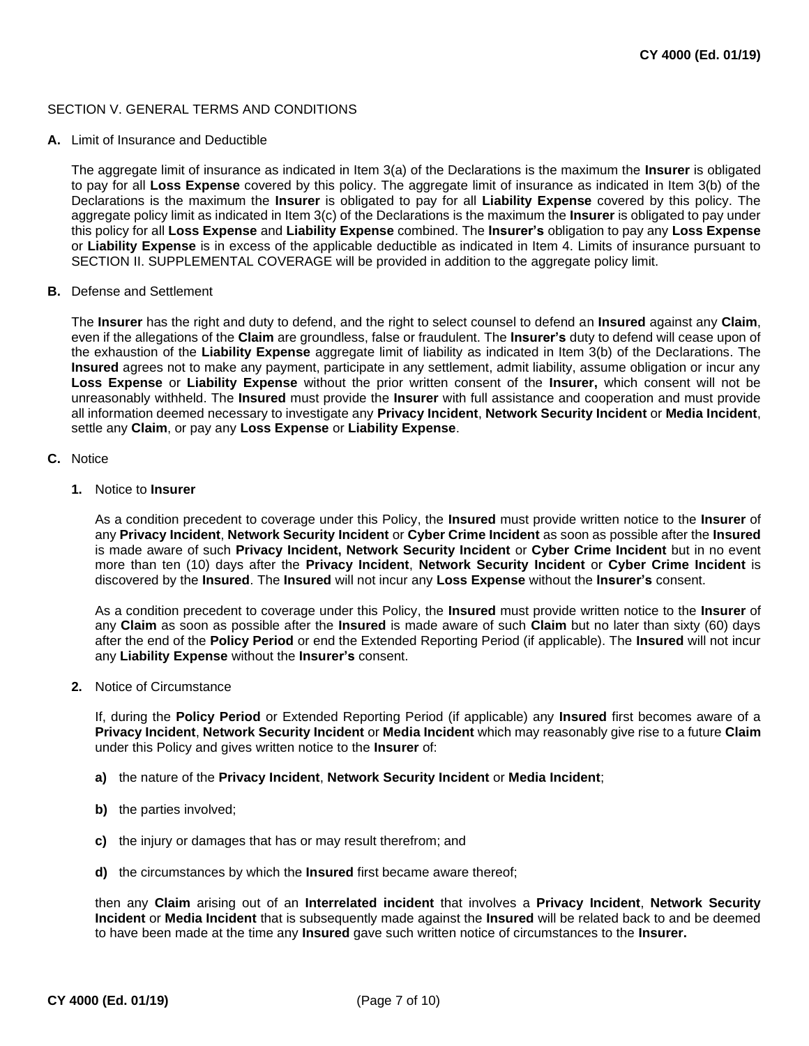# SECTION V. GENERAL TERMS AND CONDITIONS

### **A.** Limit of Insurance and Deductible

The aggregate limit of insurance as indicated in Item 3(a) of the Declarations is the maximum the **Insurer** is obligated to pay for all **Loss Expense** covered by this policy. The aggregate limit of insurance as indicated in Item 3(b) of the Declarations is the maximum the **Insurer** is obligated to pay for all **Liability Expense** covered by this policy. The aggregate policy limit as indicated in Item 3(c) of the Declarations is the maximum the **Insurer** is obligated to pay under this policy for all **Loss Expense** and **Liability Expense** combined. The **Insurer's** obligation to pay any **Loss Expense**  or **Liability Expense** is in excess of the applicable deductible as indicated in Item 4. Limits of insurance pursuant to SECTION II. SUPPLEMENTAL COVERAGE will be provided in addition to the aggregate policy limit.

# **B.** Defense and Settlement

The **Insurer** has the right and duty to defend, and the right to select counsel to defend an **Insured** against any **Claim**, even if the allegations of the **Claim** are groundless, false or fraudulent. The **Insurer's** duty to defend will cease upon of the exhaustion of the **Liability Expense** aggregate limit of liability as indicated in Item 3(b) of the Declarations. The **Insured** agrees not to make any payment, participate in any settlement, admit liability, assume obligation or incur any **Loss Expense** or **Liability Expense** without the prior written consent of the **Insurer,** which consent will not be unreasonably withheld. The **Insured** must provide the **Insurer** with full assistance and cooperation and must provide all information deemed necessary to investigate any **Privacy Incident**, **Network Security Incident** or **Media Incident**, settle any **Claim**, or pay any **Loss Expense** or **Liability Expense**.

### **C.** Notice

### **1.** Notice to **Insurer**

As a condition precedent to coverage under this Policy, the **Insured** must provide written notice to the **Insurer** of any **Privacy Incident**, **Network Security Incident** or **Cyber Crime Incident** as soon as possible after the **Insured**  is made aware of such **Privacy Incident, Network Security Incident** or **Cyber Crime Incident** but in no event more than ten (10) days after the **Privacy Incident**, **Network Security Incident** or **Cyber Crime Incident** is discovered by the **Insured**. The **Insured** will not incur any **Loss Expense** without the **Insurer's** consent.

As a condition precedent to coverage under this Policy, the **Insured** must provide written notice to the **Insurer** of any **Claim** as soon as possible after the **Insured** is made aware of such **Claim** but no later than sixty (60) days after the end of the **Policy Period** or end the Extended Reporting Period (if applicable). The **Insured** will not incur any **Liability Expense** without the **Insurer's** consent.

#### **2.** Notice of Circumstance

If, during the **Policy Period** or Extended Reporting Period (if applicable) any **Insured** first becomes aware of a **Privacy Incident**, **Network Security Incident** or **Media Incident** which may reasonably give rise to a future **Claim**  under this Policy and gives written notice to the **Insurer** of:

# **a)** the nature of the **Privacy Incident**, **Network Security Incident** or **Media Incident**;

- **b)** the parties involved;
- **c)** the injury or damages that has or may result therefrom; and
- **d)** the circumstances by which the **Insured** first became aware thereof;

then any **Claim** arising out of an **Interrelated incident** that involves a **Privacy Incident**, **Network Security Incident** or **Media Incident** that is subsequently made against the **Insured** will be related back to and be deemed to have been made at the time any **Insured** gave such written notice of circumstances to the **Insurer.**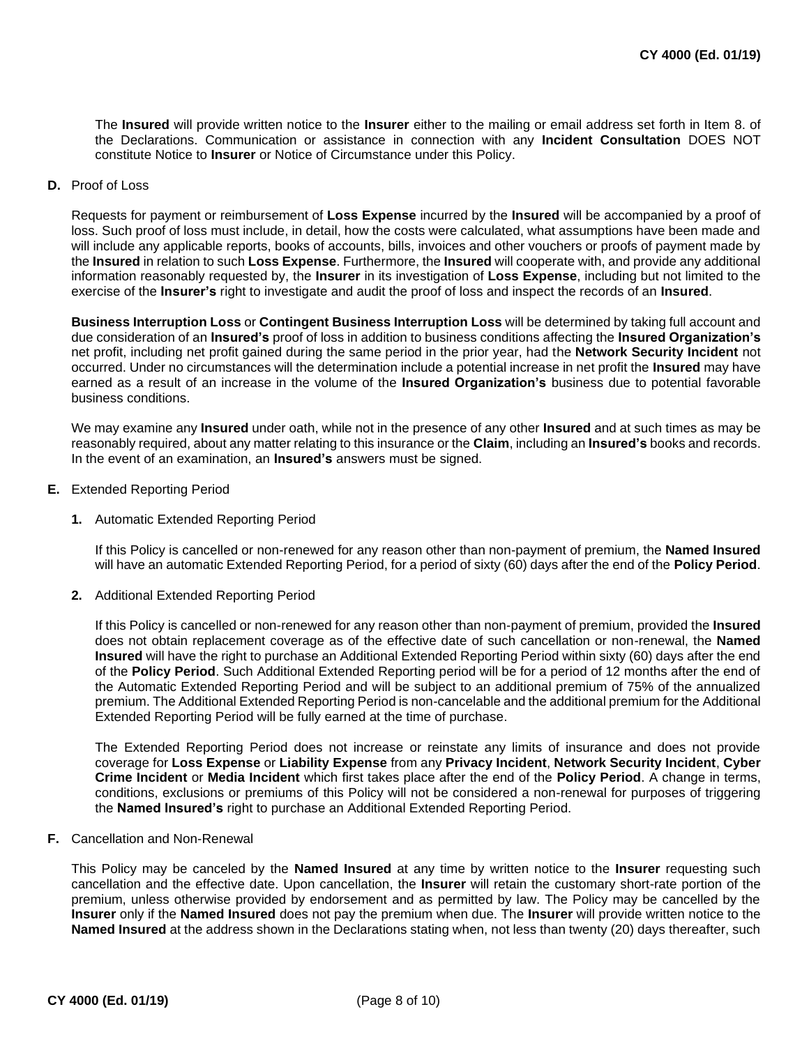The **Insured** will provide written notice to the **Insurer** either to the mailing or email address set forth in Item 8. of the Declarations. Communication or assistance in connection with any **Incident Consultation** DOES NOT constitute Notice to **Insurer** or Notice of Circumstance under this Policy.

**D.** Proof of Loss

Requests for payment or reimbursement of **Loss Expense** incurred by the **Insured** will be accompanied by a proof of loss. Such proof of loss must include, in detail, how the costs were calculated, what assumptions have been made and will include any applicable reports, books of accounts, bills, invoices and other vouchers or proofs of payment made by the **Insured** in relation to such **Loss Expense**. Furthermore, the **Insured** will cooperate with, and provide any additional information reasonably requested by, the **Insurer** in its investigation of **Loss Expense**, including but not limited to the exercise of the **Insurer's** right to investigate and audit the proof of loss and inspect the records of an **Insured**.

**Business Interruption Loss** or **Contingent Business Interruption Loss** will be determined by taking full account and due consideration of an **Insured's** proof of loss in addition to business conditions affecting the **Insured Organization's**  net profit, including net profit gained during the same period in the prior year, had the **Network Security Incident** not occurred. Under no circumstances will the determination include a potential increase in net profit the **Insured** may have earned as a result of an increase in the volume of the **Insured Organization's** business due to potential favorable business conditions.

We may examine any **Insured** under oath, while not in the presence of any other **Insured** and at such times as may be reasonably required, about any matter relating to this insurance or the **Claim**, including an **Insured's** books and records. In the event of an examination, an **Insured's** answers must be signed.

- **E.** Extended Reporting Period
	- **1.** Automatic Extended Reporting Period

If this Policy is cancelled or non-renewed for any reason other than non-payment of premium, the **Named Insured**  will have an automatic Extended Reporting Period, for a period of sixty (60) days after the end of the **Policy Period**.

**2.** Additional Extended Reporting Period

If this Policy is cancelled or non-renewed for any reason other than non-payment of premium, provided the **Insured**  does not obtain replacement coverage as of the effective date of such cancellation or non-renewal, the **Named Insured** will have the right to purchase an Additional Extended Reporting Period within sixty (60) days after the end of the **Policy Period**. Such Additional Extended Reporting period will be for a period of 12 months after the end of the Automatic Extended Reporting Period and will be subject to an additional premium of 75% of the annualized premium. The Additional Extended Reporting Period is non-cancelable and the additional premium for the Additional Extended Reporting Period will be fully earned at the time of purchase.

The Extended Reporting Period does not increase or reinstate any limits of insurance and does not provide coverage for **Loss Expense** or **Liability Expense** from any **Privacy Incident**, **Network Security Incident**, **Cyber Crime Incident** or **Media Incident** which first takes place after the end of the **Policy Period**. A change in terms, conditions, exclusions or premiums of this Policy will not be considered a non-renewal for purposes of triggering the **Named Insured's** right to purchase an Additional Extended Reporting Period.

**F.** Cancellation and Non-Renewal

This Policy may be canceled by the **Named Insured** at any time by written notice to the **Insurer** requesting such cancellation and the effective date. Upon cancellation, the **Insurer** will retain the customary short-rate portion of the premium, unless otherwise provided by endorsement and as permitted by law. The Policy may be cancelled by the **Insurer** only if the **Named Insured** does not pay the premium when due. The **Insurer** will provide written notice to the **Named Insured** at the address shown in the Declarations stating when, not less than twenty (20) days thereafter, such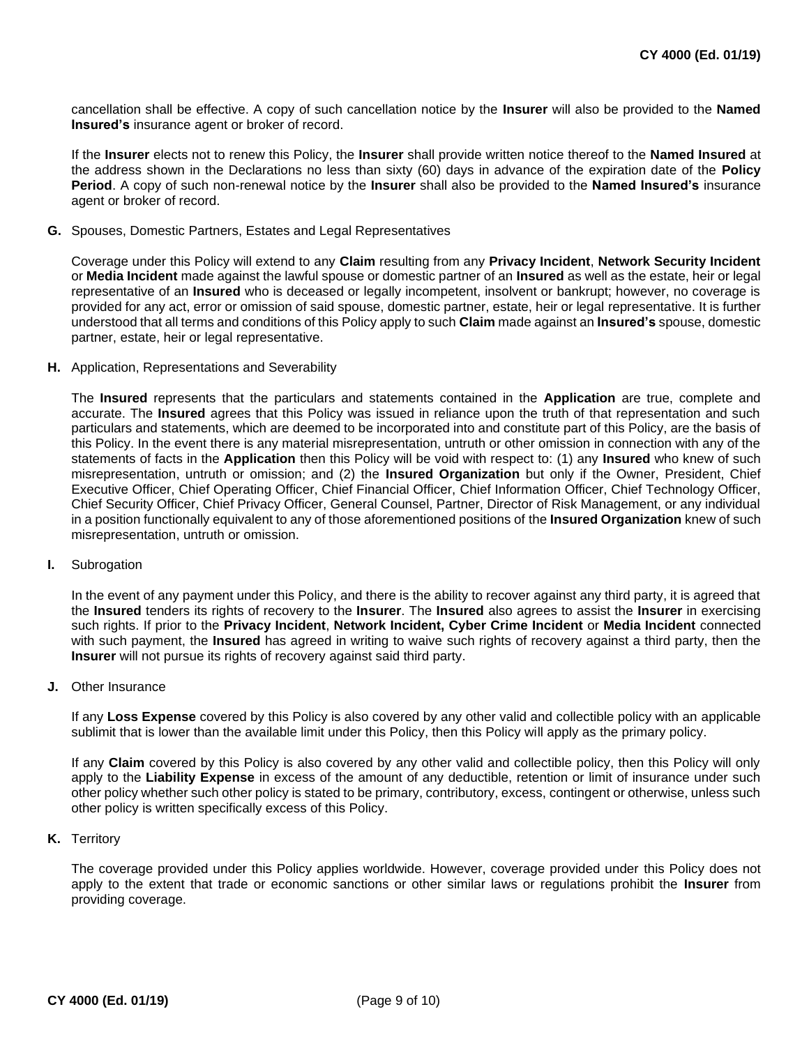cancellation shall be effective. A copy of such cancellation notice by the **Insurer** will also be provided to the **Named Insured's** insurance agent or broker of record.

If the **Insurer** elects not to renew this Policy, the **Insurer** shall provide written notice thereof to the **Named Insured** at the address shown in the Declarations no less than sixty (60) days in advance of the expiration date of the **Policy Period**. A copy of such non-renewal notice by the **Insurer** shall also be provided to the **Named Insured's** insurance agent or broker of record.

**G.** Spouses, Domestic Partners, Estates and Legal Representatives

Coverage under this Policy will extend to any **Claim** resulting from any **Privacy Incident**, **Network Security Incident**  or **Media Incident** made against the lawful spouse or domestic partner of an **Insured** as well as the estate, heir or legal representative of an **Insured** who is deceased or legally incompetent, insolvent or bankrupt; however, no coverage is provided for any act, error or omission of said spouse, domestic partner, estate, heir or legal representative. It is further understood that all terms and conditions of this Policy apply to such **Claim** made against an **Insured's** spouse, domestic partner, estate, heir or legal representative.

**H.** Application, Representations and Severability

The **Insured** represents that the particulars and statements contained in the **Application** are true, complete and accurate. The **Insured** agrees that this Policy was issued in reliance upon the truth of that representation and such particulars and statements, which are deemed to be incorporated into and constitute part of this Policy, are the basis of this Policy. In the event there is any material misrepresentation, untruth or other omission in connection with any of the statements of facts in the **Application** then this Policy will be void with respect to: (1) any **Insured** who knew of such misrepresentation, untruth or omission; and (2) the **Insured Organization** but only if the Owner, President, Chief Executive Officer, Chief Operating Officer, Chief Financial Officer, Chief Information Officer, Chief Technology Officer, Chief Security Officer, Chief Privacy Officer, General Counsel, Partner, Director of Risk Management, or any individual in a position functionally equivalent to any of those aforementioned positions of the **Insured Organization** knew of such misrepresentation, untruth or omission.

**I.** Subrogation

In the event of any payment under this Policy, and there is the ability to recover against any third party, it is agreed that the **Insured** tenders its rights of recovery to the **Insurer**. The **Insured** also agrees to assist the **Insurer** in exercising such rights. If prior to the **Privacy Incident**, **Network Incident, Cyber Crime Incident** or **Media Incident** connected with such payment, the **Insured** has agreed in writing to waive such rights of recovery against a third party, then the **Insurer** will not pursue its rights of recovery against said third party.

**J.** Other Insurance

If any **Loss Expense** covered by this Policy is also covered by any other valid and collectible policy with an applicable sublimit that is lower than the available limit under this Policy, then this Policy will apply as the primary policy.

If any **Claim** covered by this Policy is also covered by any other valid and collectible policy, then this Policy will only apply to the **Liability Expense** in excess of the amount of any deductible, retention or limit of insurance under such other policy whether such other policy is stated to be primary, contributory, excess, contingent or otherwise, unless such other policy is written specifically excess of this Policy.

**K.** Territory

The coverage provided under this Policy applies worldwide. However, coverage provided under this Policy does not apply to the extent that trade or economic sanctions or other similar laws or regulations prohibit the **Insurer** from providing coverage.